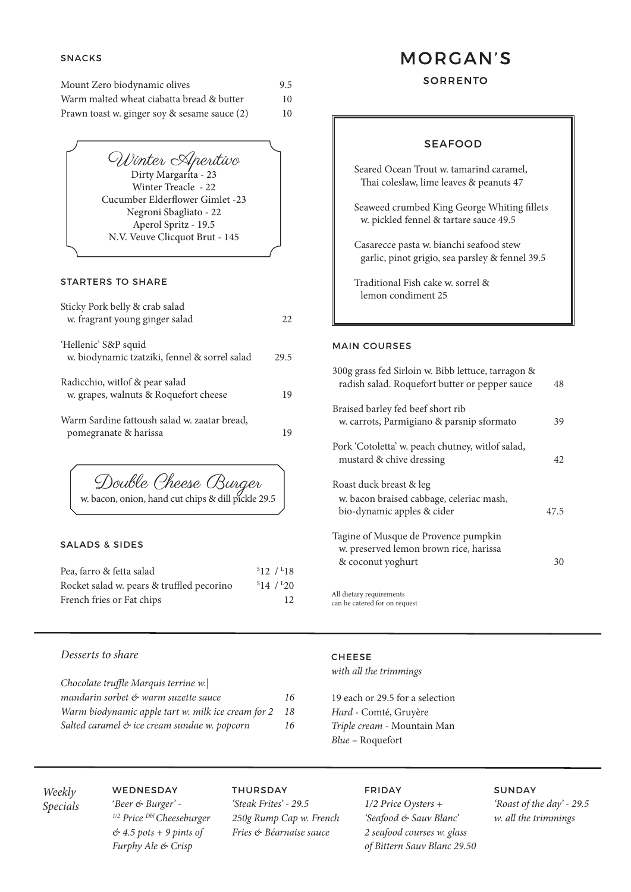### STARTERS TO SHARE

| Sticky Pork belly & crab salad<br>w. fragrant young ginger salad        | 22.  |
|-------------------------------------------------------------------------|------|
| 'Hellenic' S&P squid<br>w. biodynamic tzatziki, fennel & sorrel salad   | 29.5 |
| Radicchio, with f & pear salad<br>w. grapes, walnuts & Roquefort cheese | 19   |
| Warm Sardine fattoush salad w. zaatar bread,<br>pomegranate & harissa   | 19   |

## SNACKS

| Mount Zero biodynamic olives                 | 9.5 |
|----------------------------------------------|-----|
| Warm malted wheat ciabatta bread & butter    | 10  |
| Prawn toast w. ginger soy & sesame sauce (2) | 10  |

| <b>SEAFOOD</b>                                                                             |  |
|--------------------------------------------------------------------------------------------|--|
| Seared Ocean Trout w. tamarind caramel,<br>Thai coleslaw, lime leaves & peanuts 47         |  |
| Seaweed crumbed King George Whiting fillets<br>w. pickled fennel & tartare sauce 49.5      |  |
| Casarecce pasta w. bianchi seafood stew<br>garlic, pinot grigio, sea parsley & fennel 39.5 |  |
| Traditional Fish cake w. sorrel &<br>lemon condiment 25                                    |  |
|                                                                                            |  |

#### MAIN COURSES

| 300g grass fed Sirloin w. Bibb lettuce, tarragon &<br>radish salad. Roquefort butter or pepper sauce | 48   |
|------------------------------------------------------------------------------------------------------|------|
| Braised barley fed beef short rib<br>w. carrots, Parmigiano & parsnip sformato                       | 39   |
| Pork 'Cotoletta' w. peach chutney, witlof salad,<br>mustard & chive dressing                         | 42   |
| Roast duck breast & leg<br>w. bacon braised cabbage, celeriac mash,<br>bio-dynamic apples & cider    | 47.5 |
| Tagine of Musque de Provence pumpkin<br>w. preserved lemon brown rice, harissa<br>& coconut yoghurt  | 30   |

Winter Aperitivo Winter Treacle - 22 Cucumber Elderflower Gimlet -23 Negroni Sbagliato - 22 Aperol Spritz - 19.5 N.V. Veuve Clicquot Brut - 145

## SALADS & SIDES

| Pea, farro & fetta salad                  | $S_{12}/I_{18}$ |
|-------------------------------------------|-----------------|
| Rocket salad w. pears & truffled pecorino | 514/120         |
| French fries or Fat chips                 | 12              |

# **MORGAN'S**

## **SORRENTO**

## *Desserts to share*

*Chocolate truffle Marquis terrine w.|*

*mandarin sorbet & warm suzette sauce 16 Warm biodynamic apple tart w. milk ice cream for 2 18 Salted caramel & ice cream sundae w. popcorn 16*

## CHEESE *with all the trimmings*

19 each or 29.5 for a selection *Hard* - Comté, Gruyère *Triple cream* - Mountain Man *Blue* – Roquefort

#### WEDNESDAY

'*Beer & Burger' - 1/2 Price Dbl Cheeseburger & 4.5 pots + 9 pints of Furphy Ale & Crisp*

#### THURSDAY

*'Steak Frites' - 29.5 250g Rump Cap w. French Fries & Béarnaise sauce*

# FRIDAY *1/2 Price Oysters + 'Seafood & Sauv Blanc' 2 seafood courses w. glass of Bittern Sauv Blanc 29.50*

#### SUNDAY

*'Roast of the day' - 29.5 w. all the trimmings*

All dietary requirements can be catered for on request

Double Cheese Burger

w. bacon, onion, hand cut chips & dill pickle 29.5

*Weekly Specials*